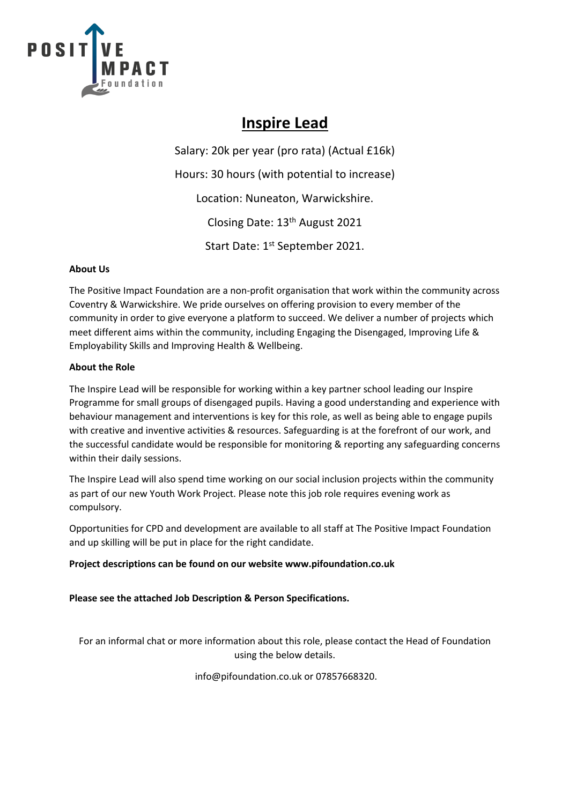

## **Inspire Lead**

Salary: 20k per year (pro rata) (Actual £16k) Hours: 30 hours (with potential to increase) Location: Nuneaton, Warwickshire. Closing Date: 13th August 2021 Start Date: 1<sup>st</sup> September 2021.

### **About Us**

The Positive Impact Foundation are a non-profit organisation that work within the community across Coventry & Warwickshire. We pride ourselves on offering provision to every member of the community in order to give everyone a platform to succeed. We deliver a number of projects which meet different aims within the community, including Engaging the Disengaged, Improving Life & Employability Skills and Improving Health & Wellbeing.

#### **About the Role**

The Inspire Lead will be responsible for working within a key partner school leading our Inspire Programme for small groups of disengaged pupils. Having a good understanding and experience with behaviour management and interventions is key for this role, as well as being able to engage pupils with creative and inventive activities & resources. Safeguarding is at the forefront of our work, and the successful candidate would be responsible for monitoring & reporting any safeguarding concerns within their daily sessions.

The Inspire Lead will also spend time working on our social inclusion projects within the community as part of our new Youth Work Project. Please note this job role requires evening work as compulsory.

Opportunities for CPD and development are available to all staff at The Positive Impact Foundation and up skilling will be put in place for the right candidate.

#### **Project descriptions can be found on our website www.pifoundation.co.uk**

**Please see the attached Job Description & Person Specifications.**

For an informal chat or more information about this role, please contact the Head of Foundation using the below details.

info@pifoundation.co.uk or 07857668320.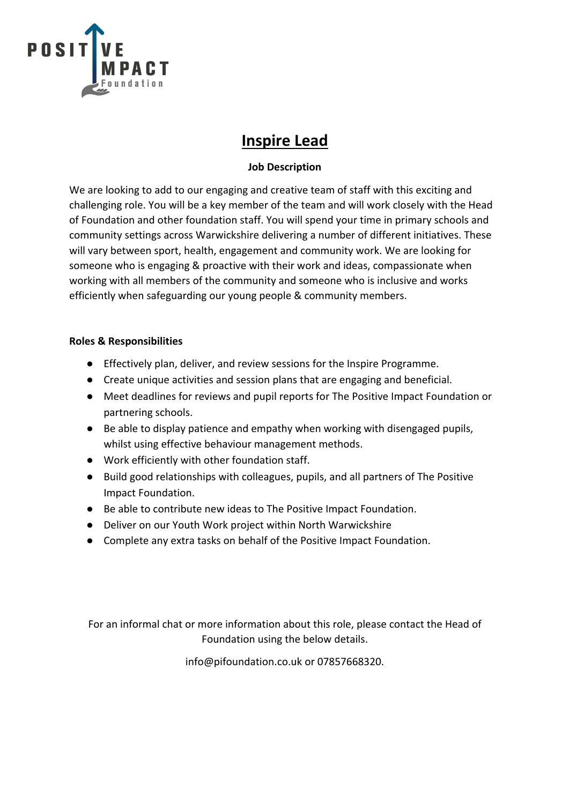

## **Inspire Lead**

## **Job Description**

We are looking to add to our engaging and creative team of staff with this exciting and challenging role. You will be a key member of the team and will work closely with the Head of Foundation and other foundation staff. You will spend your time in primary schools and community settings across Warwickshire delivering a number of different initiatives. These will vary between sport, health, engagement and community work. We are looking for someone who is engaging & proactive with their work and ideas, compassionate when working with all members of the community and someone who is inclusive and works efficiently when safeguarding our young people & community members.

### **Roles & Responsibilities**

- Effectively plan, deliver, and review sessions for the Inspire Programme.
- Create unique activities and session plans that are engaging and beneficial.
- Meet deadlines for reviews and pupil reports for The Positive Impact Foundation or partnering schools.
- Be able to display patience and empathy when working with disengaged pupils, whilst using effective behaviour management methods.
- Work efficiently with other foundation staff.
- Build good relationships with colleagues, pupils, and all partners of The Positive Impact Foundation.
- Be able to contribute new ideas to The Positive Impact Foundation.
- Deliver on our Youth Work project within North Warwickshire
- Complete any extra tasks on behalf of the Positive Impact Foundation.

For an informal chat or more information about this role, please contact the Head of Foundation using the below details.

info@pifoundation.co.uk or 07857668320.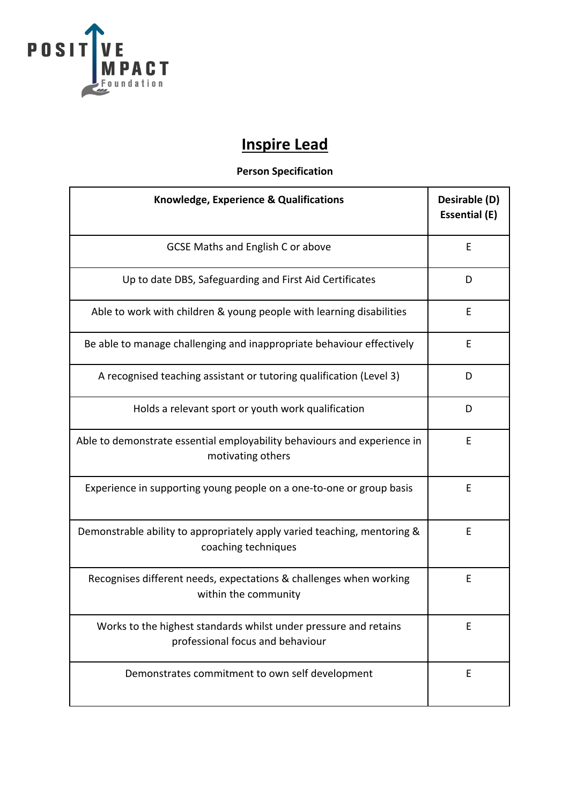

# **Inspire Lead**

## **Person Specification**

| Knowledge, Experience & Qualifications                                                               | Desirable (D)<br><b>Essential (E)</b> |
|------------------------------------------------------------------------------------------------------|---------------------------------------|
| <b>GCSE Maths and English C or above</b>                                                             | E                                     |
| Up to date DBS, Safeguarding and First Aid Certificates                                              | D                                     |
| Able to work with children & young people with learning disabilities                                 | E                                     |
| Be able to manage challenging and inappropriate behaviour effectively                                | Ε                                     |
| A recognised teaching assistant or tutoring qualification (Level 3)                                  | D                                     |
| Holds a relevant sport or youth work qualification                                                   | D                                     |
| Able to demonstrate essential employability behaviours and experience in<br>motivating others        | E                                     |
| Experience in supporting young people on a one-to-one or group basis                                 | E                                     |
| Demonstrable ability to appropriately apply varied teaching, mentoring &<br>coaching techniques      | E                                     |
| Recognises different needs, expectations & challenges when working<br>within the community           | E                                     |
| Works to the highest standards whilst under pressure and retains<br>professional focus and behaviour | E                                     |
| Demonstrates commitment to own self development                                                      | E                                     |